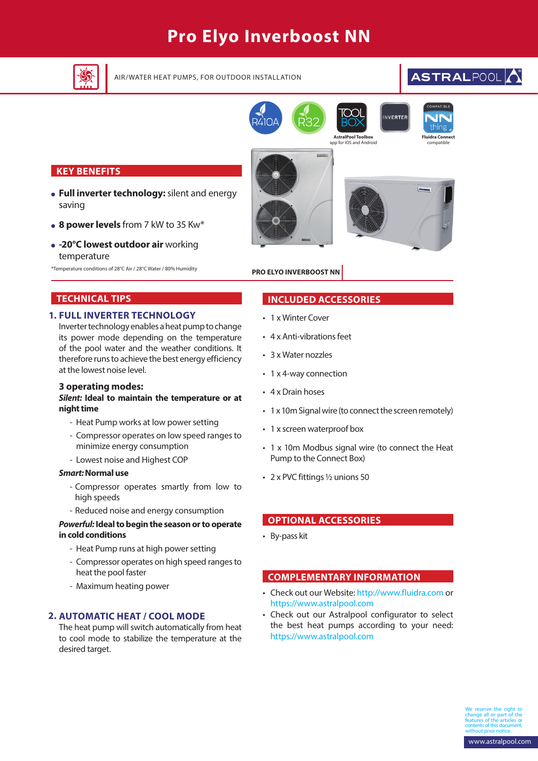# **Pro Elyo Inverboost NN**



AIR/WATER HEAT PUMPS, FOR OUTDOOR INSTALLATION **BUDGET ALL POST RALPOOL** 





**INVERTER** 

# **KEY BENEFITS**

- **Full inverter technology:** silent and energy saving
- **8 power levels** from 7 kW to 35 Kw\*
- **-20°C lowest outdoor air** working temperature

\*Temperature conditions of 28°C Air / 28°C Water / 80% Humidity



**AstralPool To** 

# **PRO ELYO INVERBOOST NN**

# **TECHNICAL TIPS**

## **FULL INVERTER TECHNOLOGY 1.**

Inverter technology enables a heat pump to change its power mode depending on the temperature of the pool water and the weather conditions. It therefore runs to achieve the best energy efficiency at the lowest noise level.

### **3 operating modes:**

### *Silent:* **Ideal to maintain the temperature or at night time**

- Heat Pump works at low power setting
- Compressor operates on low speed ranges to minimize energy consumption
- Lowest noise and Highest COP

## *Smart:* **Normal use**

- Compressor operates smartly from low to high speeds
- Reduced noise and energy consumption

### *Powerful:* **Ideal to begin the season or to operate in cold conditions**

- Heat Pump runs at high power setting
- Compressor operates on high speed ranges to heat the pool faster
- Maximum heating power

## **AUTOMATIC HEAT / COOL MODE 2.**

The heat pump will switch automatically from heat to cool mode to stabilize the temperature at the desired target.

# **INCLUDED ACCESSORIES**

- 1 x Winter Cover
- 4 x Anti-vibrations feet
- 3 x Water nozzles
- 1 x 4-way connection
- 4 x Drain hoses
- 1 x 10m Signal wire (to connect the screen remotely)
- 1 x screen waterproof box
- 1 x 10m Modbus signal wire (to connect the Heat Pump to the Connect Box)
- 2 x PVC fittings ½ unions 50

# **OPTIONAL ACCESSORIES**

• By-pass kit

## **COMPLEMENTARY INFORMATION**

- Check out our Website: http://www.fluidra.com or https://www.astralpool.com
- Check out our Astralpool configurator to select the best heat pumps according to your need: https://www.astralpool.com

reserve the right change all or part of the features of the articles or contents of this document, without prior notice.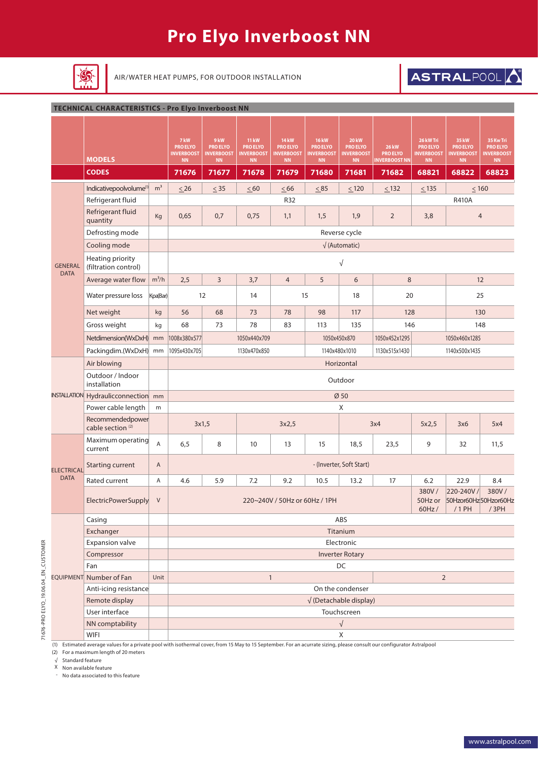# **Pro Elyo Inverboost NN**



AIR/WATER HEAT PUMPS, FOR OUTDOOR INSTALLATION **BEAT ALLY ASTRAL POOL** 

#### **TECHNICAL CHARACTERISTICS - Pro Elyo Inverboost NN**

|                     | <b>MODELS</b>                                             |                | 7 kW<br><b>PRO ELYO</b><br><b>INVERBOOST</b><br><b>NN</b> | 9 kW<br><b>PRO ELYO</b><br><b>INVERBOOST</b><br>$\mathsf{NN}$                                                               | <b>11 kW</b><br><b>PRO ELYO</b><br><b>INVERBOOST</b><br>$\mathsf{NN}$ | <b>14 kW</b><br><b>PRO ELYO</b><br><b>INVERBOOST</b><br><b>NN</b> | <b>16 kW</b><br><b>PRO ELYO</b><br><b>INVERBOOST</b><br><b>NN</b> | <b>20 kW</b><br><b>PRO ELYO</b><br><b>INVERBOOST</b><br>NN | <b>26 kW</b><br><b>PRO ELYO</b><br><b>INVERBOOST NN</b> | 26 kW Tri<br><b>PRO ELYO</b><br><b>INVERBOOST</b><br><b>NN</b> | 35 kW<br><b>PRO ELYO</b><br><b>NVERBOOST</b><br>NN | 35 Kw Tri<br><b>PRO ELYO</b><br><b>INVERBOOST</b><br><b>NN</b> |  |  |
|---------------------|-----------------------------------------------------------|----------------|-----------------------------------------------------------|-----------------------------------------------------------------------------------------------------------------------------|-----------------------------------------------------------------------|-------------------------------------------------------------------|-------------------------------------------------------------------|------------------------------------------------------------|---------------------------------------------------------|----------------------------------------------------------------|----------------------------------------------------|----------------------------------------------------------------|--|--|
|                     | <b>CODES</b>                                              |                | 71676                                                     | 71677                                                                                                                       | 71678                                                                 | 71679                                                             | 71680                                                             | 71681                                                      | 71682                                                   | 68821                                                          | 68822                                              | 68823                                                          |  |  |
|                     | Indicativepoolvolume <sup>(1)</sup>                       | m <sup>3</sup> | $\leq$ 26                                                 | $\leq$ 35                                                                                                                   | $\leq 60$                                                             | $\leq 66$                                                         | $\leq 85$                                                         | $\leq$ 120                                                 | $\leq$ 132                                              | $\leq$ 135                                                     | $\leq 160$                                         |                                                                |  |  |
|                     | Refrigerant fluid                                         |                |                                                           |                                                                                                                             |                                                                       | R32                                                               |                                                                   |                                                            |                                                         |                                                                | <b>R410A</b>                                       |                                                                |  |  |
|                     | Refrigerant fluid<br>quantity                             | Kg             | 0,65                                                      | 0,7                                                                                                                         | 0,75                                                                  | 1,1                                                               | 1,5                                                               | 1,9                                                        | $\overline{2}$                                          | 3,8                                                            |                                                    | $\overline{4}$                                                 |  |  |
|                     | Defrosting mode                                           |                |                                                           | Reverse cycle                                                                                                               |                                                                       |                                                                   |                                                                   |                                                            |                                                         |                                                                |                                                    |                                                                |  |  |
|                     | Cooling mode                                              |                |                                                           | $\sqrt{}$ (Automatic)                                                                                                       |                                                                       |                                                                   |                                                                   |                                                            |                                                         |                                                                |                                                    |                                                                |  |  |
| <b>GENERAL</b>      | Heating priority<br>(filtration control)                  |                |                                                           | $\sqrt{}$                                                                                                                   |                                                                       |                                                                   |                                                                   |                                                            |                                                         |                                                                |                                                    |                                                                |  |  |
| <b>DATA</b>         | Average water flow                                        | $m^3/h$        | 2,5                                                       | 3                                                                                                                           | 3,7                                                                   | $\overline{4}$                                                    | 5                                                                 | 6                                                          | 8                                                       |                                                                | 12                                                 |                                                                |  |  |
|                     | Water pressure loss                                       | Kpa(Bar)       | 12                                                        |                                                                                                                             | 14                                                                    |                                                                   | 15                                                                | 18                                                         | 20                                                      |                                                                | 25                                                 |                                                                |  |  |
|                     | Net weight                                                | kg             | 56                                                        | 68                                                                                                                          | 73                                                                    | 78                                                                | 98                                                                | 117                                                        | 128                                                     |                                                                |                                                    | 130                                                            |  |  |
|                     | Gross weight                                              | kg             | 68                                                        | 73                                                                                                                          | 78                                                                    | 83                                                                | 113                                                               | 135                                                        | 146                                                     |                                                                | 148                                                |                                                                |  |  |
|                     | Netdimension(WxDxH)                                       | mm             | 1008x380x577                                              |                                                                                                                             | 1050x440x709                                                          |                                                                   |                                                                   | 1050x450x870                                               | 1050x452x1295                                           |                                                                | 1050x460x1285                                      |                                                                |  |  |
|                     | Packingdim.(WxDxH)                                        | mm             | 1095x430x705                                              | 1130x470x850<br>1140x480x1010<br>1130x515x1430                                                                              |                                                                       |                                                                   |                                                                   |                                                            |                                                         |                                                                | 1140x500x1435                                      |                                                                |  |  |
|                     | Air blowing                                               |                | Horizontal                                                |                                                                                                                             |                                                                       |                                                                   |                                                                   |                                                            |                                                         |                                                                |                                                    |                                                                |  |  |
|                     | Outdoor / Indoor<br>installation                          |                | Outdoor                                                   |                                                                                                                             |                                                                       |                                                                   |                                                                   |                                                            |                                                         |                                                                |                                                    |                                                                |  |  |
| <b>INSTALLATION</b> | Hydraulicconnection mm                                    |                |                                                           | Ø50                                                                                                                         |                                                                       |                                                                   |                                                                   |                                                            |                                                         |                                                                |                                                    |                                                                |  |  |
|                     | Power cable length                                        | m              |                                                           | Χ                                                                                                                           |                                                                       |                                                                   |                                                                   |                                                            |                                                         |                                                                |                                                    |                                                                |  |  |
|                     | Recommendedpower<br>3x1,5<br>cable section <sup>(2)</sup> |                |                                                           |                                                                                                                             |                                                                       | 3x2,5                                                             |                                                                   | 3x4                                                        |                                                         | 5x2,5                                                          | 3x6                                                | 5x4                                                            |  |  |
|                     | Maximum operating<br>current                              | $\overline{A}$ | 6, 5                                                      | 8                                                                                                                           | 10                                                                    | 13                                                                | 15                                                                | 18,5                                                       | 23,5                                                    | 9                                                              | 32                                                 | 11,5                                                           |  |  |
| <b>ELECTRICAL</b>   | <b>Starting current</b>                                   | A              | - (Inverter, Soft Start)                                  |                                                                                                                             |                                                                       |                                                                   |                                                                   |                                                            |                                                         |                                                                |                                                    |                                                                |  |  |
| <b>DATA</b>         | Rated current                                             | Α              | 4.6                                                       | 5.9                                                                                                                         | 7.2                                                                   | 9.2                                                               | 10.5                                                              | 13.2                                                       | 17                                                      | 6.2                                                            | 22.9                                               | 8.4                                                            |  |  |
|                     | ElectricPowerSupply                                       | $\vee$         |                                                           | 380V/<br>380V/<br>220-240V/<br>220~240V / 50Hz or 60Hz / 1PH<br>50Hzor60Hz50Hzor60Hz<br>50Hz or<br>$/1$ PH<br>/3PH<br>60Hz/ |                                                                       |                                                                   |                                                                   |                                                            |                                                         |                                                                |                                                    |                                                                |  |  |
|                     | Casing                                                    |                |                                                           |                                                                                                                             |                                                                       |                                                                   |                                                                   | ABS                                                        |                                                         |                                                                |                                                    |                                                                |  |  |
|                     | Exchanger                                                 |                |                                                           |                                                                                                                             |                                                                       |                                                                   |                                                                   | Titanium                                                   |                                                         |                                                                |                                                    |                                                                |  |  |
|                     | <b>Expansion valve</b>                                    |                |                                                           |                                                                                                                             |                                                                       |                                                                   |                                                                   | Electronic                                                 |                                                         |                                                                |                                                    |                                                                |  |  |
|                     | Compressor                                                |                |                                                           |                                                                                                                             |                                                                       |                                                                   |                                                                   | <b>Inverter Rotary</b>                                     |                                                         |                                                                |                                                    |                                                                |  |  |
|                     | Fan                                                       |                |                                                           |                                                                                                                             |                                                                       |                                                                   |                                                                   | DC                                                         |                                                         |                                                                |                                                    |                                                                |  |  |
|                     | EQUIPMENT Number of Fan                                   | Unit           |                                                           |                                                                                                                             |                                                                       | $\mathbf{1}$                                                      |                                                                   |                                                            |                                                         | $\overline{2}$                                                 |                                                    |                                                                |  |  |
|                     | Anti-icing resistance                                     |                |                                                           |                                                                                                                             |                                                                       |                                                                   |                                                                   | On the condenser                                           |                                                         |                                                                |                                                    |                                                                |  |  |
|                     | Remote display                                            |                |                                                           |                                                                                                                             |                                                                       |                                                                   |                                                                   | $\sqrt{}$ (Detachable display)                             |                                                         |                                                                |                                                    |                                                                |  |  |
|                     | User interface                                            |                |                                                           |                                                                                                                             |                                                                       |                                                                   |                                                                   | Touchscreen                                                |                                                         |                                                                |                                                    |                                                                |  |  |
|                     | NN comptability                                           |                |                                                           |                                                                                                                             |                                                                       |                                                                   |                                                                   | $\sqrt{ }$                                                 |                                                         |                                                                |                                                    |                                                                |  |  |
|                     | <b>WIFI</b>                                               |                |                                                           |                                                                                                                             |                                                                       |                                                                   |                                                                   | X                                                          |                                                         |                                                                |                                                    |                                                                |  |  |

(1) Estimated average values for a private pool with isothermal cover, from 15 May to 15 September. For an acurrate sizing, please consult our configurator Astralpool

(2) For a maximum length of 20 meters

√ Standard feature

71676-PRO ELYO\_19.06.04\_EN\_CUSTOMER

71676-PRO ELYO\_19.06.04\_EN\_CUSTOMER

X Non available feature

- No data associated to this feature